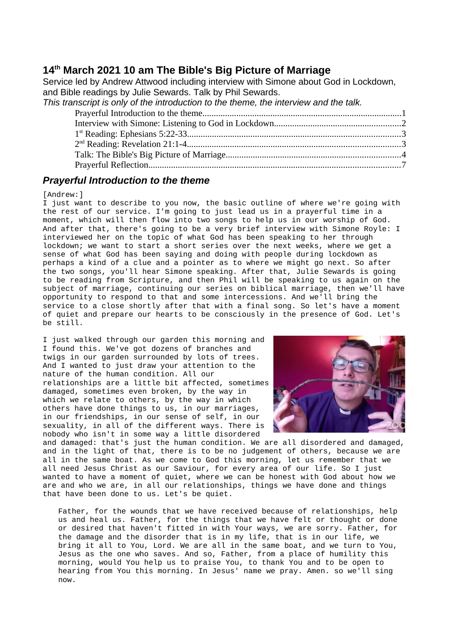# **14th March 2021 10 am The Bible's Big Picture of Marriage**

Service led by Andrew Attwood including interview with Simone about God in Lockdown, and Bible readings by Julie Sewards. Talk by Phil Sewards.

| This transcript is only of the introduction to the theme, the interview and the talk. |  |
|---------------------------------------------------------------------------------------|--|
|                                                                                       |  |
|                                                                                       |  |
|                                                                                       |  |
|                                                                                       |  |
|                                                                                       |  |
|                                                                                       |  |

## <span id="page-0-0"></span>*Prayerful Introduction to the theme*

### [Andrew:]

I just want to describe to you now, the basic outline of where we're going with the rest of our service. I'm going to just lead us in a prayerful time in a moment, which will then flow into two songs to help us in our worship of God. And after that, there's going to be a very brief interview with Simone Royle: I interviewed her on the topic of what God has been speaking to her through lockdown; we want to start a short series over the next weeks, where we get a sense of what God has been saying and doing with people during lockdown as perhaps a kind of a clue and a pointer as to where we might go next. So after the two songs, you'll hear Simone speaking. After that, Julie Sewards is going to be reading from Scripture, and then Phil will be speaking to us again on the subject of marriage, continuing our series on biblical marriage, then we'll have opportunity to respond to that and some intercessions. And we'll bring the service to a close shortly after that with a final song. So let's have a moment of quiet and prepare our hearts to be consciously in the presence of God. Let's be still.

I just walked through our garden this morning and I found this. We've got dozens of branches and twigs in our garden surrounded by lots of trees. And I wanted to just draw your attention to the nature of the human condition. All our relationships are a little bit affected, sometimes damaged, sometimes even broken, by the way in which we relate to others, by the way in which others have done things to us, in our marriages, in our friendships, in our sense of self, in our sexuality, in all of the different ways. There is nobody who isn't in some way a little disordered



and damaged: that's just the human condition. We are all disordered and damaged, and in the light of that, there is to be no judgement of others, because we are all in the same boat. As we come to God this morning, let us remember that we all need Jesus Christ as our Saviour, for every area of our life. So I just wanted to have a moment of quiet, where we can be honest with God about how we are and who we are, in all our relationships, things we have done and things that have been done to us. Let's be quiet.

Father, for the wounds that we have received because of relationships, help us and heal us. Father, for the things that we have felt or thought or done or desired that haven't fitted in with Your ways, we are sorry. Father, for the damage and the disorder that is in my life, that is in our life, we bring it all to You, Lord. We are all in the same boat, and we turn to You, Jesus as the one who saves. And so, Father, from a place of humility this morning, would You help us to praise You, to thank You and to be open to hearing from You this morning. In Jesus' name we pray. Amen. so we'll sing now.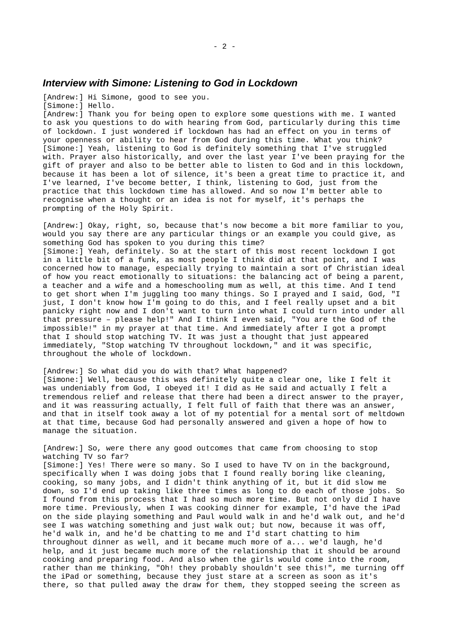### <span id="page-1-0"></span>*Interview with Simone: Listening to God in Lockdown*

[Andrew:] Hi Simone, good to see you.

[Simone:] Hello.

[Andrew:] Thank you for being open to explore some questions with me. I wanted to ask you questions to do with hearing from God, particularly during this time of lockdown. I just wondered if lockdown has had an effect on you in terms of your openness or ability to hear from God during this time. What you think? [Simone:] Yeah, listening to God is definitely something that I've struggled with. Prayer also historically, and over the last year  $I'$  ve been praying for the gift of prayer and also to be better able to listen to God and in this lockdown, because it has been a lot of silence, it's been a great time to practice it, and I've learned, I've become better, I think, listening to God, just from the practice that this lockdown time has allowed. And so now I'm better able to recognise when a thought or an idea is not for myself, it's perhaps the prompting of the Holy Spirit.

[Andrew:] Okay, right, so, because that's now become a bit more familiar to you, would you say there are any particular things or an example you could give, as something God has spoken to you during this time?

[Simone:] Yeah, definitely. So at the start of this most recent lockdown I got in a little bit of a funk, as most people I think did at that point, and I was concerned how to manage, especially trying to maintain a sort of Christian ideal of how you react emotionally to situations: the balancing act of being a parent, a teacher and a wife and a homeschooling mum as well, at this time. And I tend to get short when I'm juggling too many things. So I prayed and I said, God, "I just, I don't know how I'm going to do this, and I feel really upset and a bit panicky right now and I don't want to turn into what I could turn into under all that pressure – please help!" And I think I even said, "You are the God of the impossible!" in my prayer at that time. And immediately after I got a prompt that I should stop watching TV. It was just a thought that just appeared immediately, "Stop watching TV throughout lockdown," and it was specific, throughout the whole of lockdown.

[Andrew:] So what did you do with that? What happened? [Simone:] Well, because this was definitely quite a clear one, like I felt it was undeniably from God, I obeyed it! I did as He said and actually I felt a tremendous relief and release that there had been a direct answer to the prayer, and it was reassuring actually, I felt full of faith that there was an answer, and that in itself took away a lot of my potential for a mental sort of meltdown at that time, because God had personally answered and given a hope of how to manage the situation.

[Andrew:] So, were there any good outcomes that came from choosing to stop watching TV so far?

[Simone:] Yes! There were so many. So I used to have TV on in the background, specifically when I was doing jobs that I found really boring like cleaning, cooking, so many jobs, and I didn't think anything of it, but it did slow me down, so I'd end up taking like three times as long to do each of those jobs. So I found from this process that I had so much more time. But not only did I have more time. Previously, when I was cooking dinner for example, I'd have the iPad on the side playing something and Paul would walk in and he'd walk out, and he'd see I was watching something and just walk out; but now, because it was off, he'd walk in, and he'd be chatting to me and I'd start chatting to him throughout dinner as well, and it became much more of a... we'd laugh, he'd help, and it just became much more of the relationship that it should be around cooking and preparing food. And also when the girls would come into the room, rather than me thinking, "Oh! they probably shouldn't see this!", me turning off the iPad or something, because they just stare at a screen as soon as it's there, so that pulled away the draw for them, they stopped seeing the screen as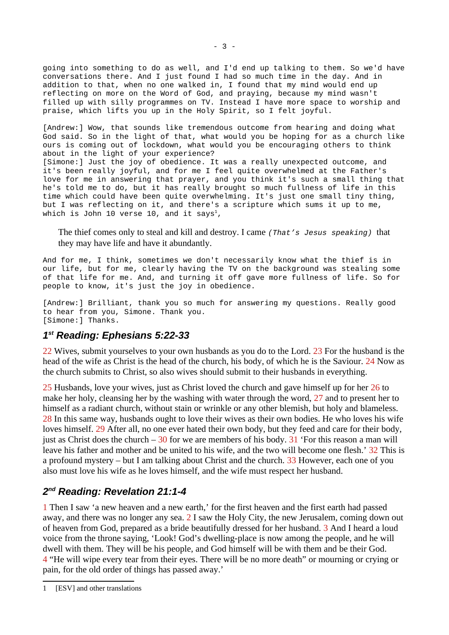going into something to do as well, and I'd end up talking to them. So we'd have conversations there. And I just found I had so much time in the day. And in addition to that, when no one walked in, I found that my mind would end up reflecting on more on the Word of God, and praying, because my mind wasn't filled up with silly programmes on TV. Instead I have more space to worship and praise, which lifts you up in the Holy Spirit, so I felt joyful.

[Andrew:] Wow, that sounds like tremendous outcome from hearing and doing what God said. So in the light of that, what would you be hoping for as a church like ours is coming out of lockdown, what would you be encouraging others to think about in the light of your experience? [Simone:] Just the joy of obedience. It was a really unexpected outcome, and it's been really joyful, and for me I feel quite overwhelmed at the Father's love for me in answering that prayer, and you think it's such a small thing that he's told me to do, but it has really brought so much fullness of life in this time which could have been quite overwhelming. It's just one small tiny thing, but I was reflecting on it, and there's a scripture which sums it up to me, which is John [1](#page-2-2)0 verse 10, and it says<sup>1</sup>,

The thief comes only to steal and kill and destroy. I came *(That's Jesus speaking)* that they may have life and have it abundantly.

And for me, I think, sometimes we don't necessarily know what the thief is in our life, but for me, clearly having the TV on the background was stealing some of that life for me. And, and turning it off gave more fullness of life. So for people to know, it's just the joy in obedience.

[Andrew:] Brilliant, thank you so much for answering my questions. Really good to hear from you, Simone. Thank you. [Simone:] Thanks.

# <span id="page-2-1"></span>*1 st Reading: Ephesians 5:22-33*

22 Wives, submit yourselves to your own husbands as you do to the Lord. 23 For the husband is the head of the wife as Christ is the head of the church, his body, of which he is the Saviour. 24 Now as the church submits to Christ, so also wives should submit to their husbands in everything.

25 Husbands, love your wives, just as Christ loved the church and gave himself up for her 26 to make her holy, cleansing her by the washing with water through the word, 27 and to present her to himself as a radiant church, without stain or wrinkle or any other blemish, but holy and blameless. 28 In this same way, husbands ought to love their wives as their own bodies. He who loves his wife loves himself. 29 After all, no one ever hated their own body, but they feed and care for their body, just as Christ does the church  $-30$  for we are members of his body.  $31$  'For this reason a man will leave his father and mother and be united to his wife, and the two will become one flesh.' 32 This is a profound mystery – but I am talking about Christ and the church. 33 However, each one of you also must love his wife as he loves himself, and the wife must respect her husband.

# <span id="page-2-0"></span>*2 nd Reading: Revelation 21:1-4*

1 Then I saw 'a new heaven and a new earth,' for the first heaven and the first earth had passed away, and there was no longer any sea. 2 I saw the Holy City, the new Jerusalem, coming down out of heaven from God, prepared as a bride beautifully dressed for her husband. 3 And I heard a loud voice from the throne saying, 'Look! God's dwelling-place is now among the people, and he will dwell with them. They will be his people, and God himself will be with them and be their God. 4 "He will wipe every tear from their eyes. There will be no more death" or mourning or crying or pain, for the old order of things has passed away.'

<span id="page-2-2"></span><sup>1</sup> [ESV] and other translations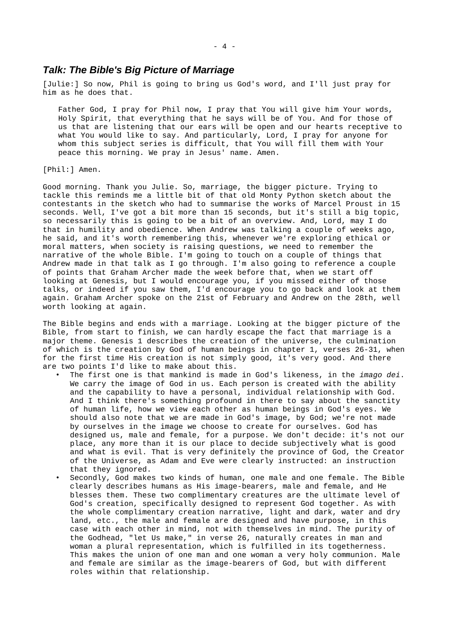### <span id="page-3-0"></span>*Talk: The Bible's Big Picture of Marriage*

[Julie:] So now, Phil is going to bring us God's word, and I'll just pray for him as he does that.

Father God, I pray for Phil now, I pray that You will give him Your words, Holy Spirit, that everything that he says will be of You. And for those of us that are listening that our ears will be open and our hearts receptive to what You would like to say. And particularly, Lord, I pray for anyone for whom this subject series is difficult, that You will fill them with Your peace this morning. We pray in Jesus' name. Amen.

[Phil:] Amen.

Good morning. Thank you Julie. So, marriage, the bigger picture. Trying to tackle this reminds me a little bit of that old Monty Python sketch about the contestants in the sketch who had to summarise the works of Marcel Proust in 15 seconds. Well, I've got a bit more than 15 seconds, but it's still a big topic, so necessarily this is going to be a bit of an overview. And, Lord, may I do that in humility and obedience. When Andrew was talking a couple of weeks ago, he said, and it's worth remembering this, whenever we're exploring ethical or moral matters, when society is raising questions, we need to remember the narrative of the whole Bible. I'm going to touch on a couple of things that Andrew made in that talk as I go through. I'm also going to reference a couple of points that Graham Archer made the week before that, when we start off looking at Genesis, but I would encourage you, if you missed either of those talks, or indeed if you saw them, I'd encourage you to go back and look at them again. Graham Archer spoke on the 21st of February and Andrew on the 28th, well worth looking at again.

The Bible begins and ends with a marriage. Looking at the bigger picture of the Bible, from start to finish, we can hardly escape the fact that marriage is a major theme. Genesis 1 describes the creation of the universe, the culmination of which is the creation by God of human beings in chapter 1, verses 26-31, when for the first time His creation is not simply good, it's very good. And there are two points I'd like to make about this.

- The first one is that mankind is made in God's likeness, in the *imago dei*. We carry the image of God in us. Each person is created with the ability and the capability to have a personal, individual relationship with God. And I think there's something profound in there to say about the sanctity of human life, how we view each other as human beings in God's eyes. We should also note that we are made in God's image, by God; we're not made by ourselves in the image we choose to create for ourselves. God has designed us, male and female, for a purpose. We don't decide: it's not our place, any more than it is our place to decide subjectively what is good and what is evil. That is very definitely the province of God, the Creator of the Universe, as Adam and Eve were clearly instructed: an instruction that they ignored.
- Secondly, God makes two kinds of human, one male and one female. The Bible clearly describes humans as His image-bearers, male and female, and He blesses them. These two complimentary creatures are the ultimate level of God's creation, specifically designed to represent God together. As with the whole complimentary creation narrative, light and dark, water and dry land, etc., the male and female are designed and have purpose, in this case with each other in mind, not with themselves in mind. The purity of the Godhead, "let Us make," in verse 26, naturally creates in man and woman a plural representation, which is fulfilled in its togetherness. This makes the union of one man and one woman a very holy communion. Male and female are similar as the image-bearers of God, but with different roles within that relationship.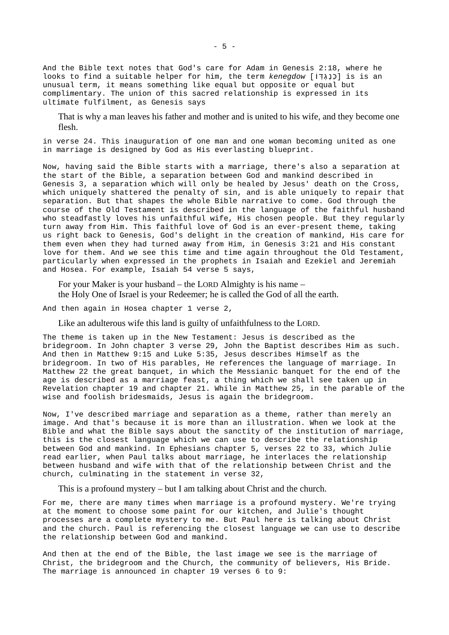And the Bible text notes that God's care for Adam in Genesis 2:18, where he looks to find a suitable helper for him, the term *kenegdow* [ו׃ֹ ֽדְּגֶכנְּ [is is an unusual term, it means something like equal but opposite or equal but complimentary. The union of this sacred relationship is expressed in its ultimate fulfilment, as Genesis says

That is why a man leaves his father and mother and is united to his wife, and they become one flesh.

in verse 24. This inauguration of one man and one woman becoming united as one in marriage is designed by God as His everlasting blueprint.

Now, having said the Bible starts with a marriage, there's also a separation at the start of the Bible, a separation between God and mankind described in Genesis 3, a separation which will only be healed by Jesus' death on the Cross, which uniquely shattered the penalty of sin, and is able uniquely to repair that separation. But that shapes the whole Bible narrative to come. God through the course of the Old Testament is described in the language of the faithful husband who steadfastly loves his unfaithful wife, His chosen people. But they regularly turn away from Him. This faithful love of God is an ever-present theme, taking us right back to Genesis, God's delight in the creation of mankind, His care for them even when they had turned away from Him, in Genesis 3:21 and His constant love for them. And we see this time and time again throughout the Old Testament, particularly when expressed in the prophets in Isaiah and Ezekiel and Jeremiah and Hosea. For example, Isaiah 54 verse 5 says,

For your Maker is your husband – the LORD Almighty is his name – the Holy One of Israel is your Redeemer; he is called the God of all the earth.

And then again in Hosea chapter 1 verse 2,

Like an adulterous wife this land is guilty of unfaithfulness to the LORD.

The theme is taken up in the New Testament: Jesus is described as the bridegroom. In John chapter 3 verse 29, John the Baptist describes Him as such. And then in Matthew 9:15 and Luke 5:35, Jesus describes Himself as the bridegroom. In two of His parables, He references the language of marriage. In Matthew 22 the great banquet, in which the Messianic banquet for the end of the age is described as a marriage feast, a thing which we shall see taken up in Revelation chapter 19 and chapter 21. While in Matthew 25, in the parable of the wise and foolish bridesmaids, Jesus is again the bridegroom.

Now, I've described marriage and separation as a theme, rather than merely an image. And that's because it is more than an illustration. When we look at the Bible and what the Bible says about the sanctity of the institution of marriage, this is the closest language which we can use to describe the relationship between God and mankind. In Ephesians chapter 5, verses 22 to 33, which Julie read earlier, when Paul talks about marriage, he interlaces the relationship between husband and wife with that of the relationship between Christ and the church, culminating in the statement in verse 32,

This is a profound mystery – but I am talking about Christ and the church.

For me, there are many times when marriage is a profound mystery. We're trying at the moment to choose some paint for our kitchen, and Julie's thought processes are a complete mystery to me. But Paul here is talking about Christ and the church. Paul is referencing the closest language we can use to describe the relationship between God and mankind.

And then at the end of the Bible, the last image we see is the marriage of Christ, the bridegroom and the Church, the community of believers, His Bride. The marriage is announced in chapter 19 verses 6 to 9: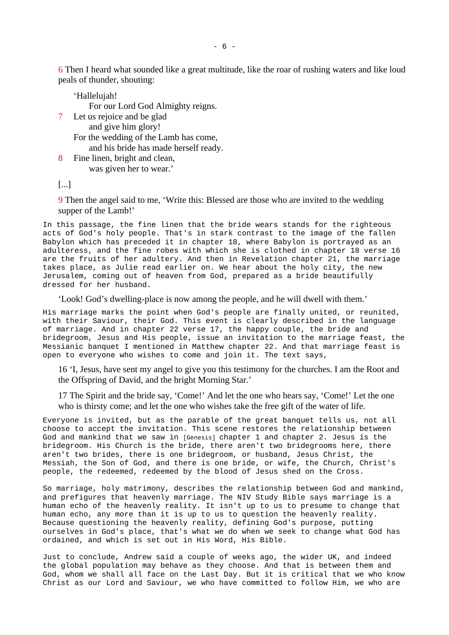6 Then I heard what sounded like a great multitude, like the roar of rushing waters and like loud peals of thunder, shouting:

'Hallelujah! For our Lord God Almighty reigns. 7 Let us rejoice and be glad

and give him glory! For the wedding of the Lamb has come, and his bride has made herself ready.

8 Fine linen, bright and clean, was given her to wear.'

[...]

9 Then the angel said to me, 'Write this: Blessed are those who are invited to the wedding supper of the Lamb!'

In this passage, the fine linen that the bride wears stands for the righteous acts of God's holy people. That's in stark contrast to the image of the fallen Babylon which has preceded it in chapter 18, where Babylon is portrayed as an adulteress, and the fine robes with which she is clothed in chapter 18 verse 16 are the fruits of her adultery. And then in Revelation chapter 21, the marriage takes place, as Julie read earlier on. We hear about the holy city, the new Jerusalem, coming out of heaven from God, prepared as a bride beautifully dressed for her husband.

'Look! God's dwelling-place is now among the people, and he will dwell with them.'

His marriage marks the point when God's people are finally united, or reunited, with their Saviour, their God. This event is clearly described in the language of marriage. And in chapter 22 verse 17, the happy couple, the bride and bridegroom, Jesus and His people, issue an invitation to the marriage feast, the Messianic banquet I mentioned in Matthew chapter 22. And that marriage feast is open to everyone who wishes to come and join it. The text says,

16 'I, Jesus, have sent my angel to give you this testimony for the churches. I am the Root and the Offspring of David, and the bright Morning Star.'

17 The Spirit and the bride say, 'Come!' And let the one who hears say, 'Come!' Let the one who is thirsty come; and let the one who wishes take the free gift of the water of life.

Everyone is invited, but as the parable of the great banquet tells us, not all choose to accept the invitation. This scene restores the relationship between God and mankind that we saw in [Genesis] chapter 1 and chapter 2. Jesus is the bridegroom. His Church is the bride, there aren't two bridegrooms here, there aren't two brides, there is one bridegroom, or husband, Jesus Christ, the Messiah, the Son of God, and there is one bride, or wife, the Church, Christ's people, the redeemed, redeemed by the blood of Jesus shed on the Cross.

So marriage, holy matrimony, describes the relationship between God and mankind, and prefigures that heavenly marriage. The NIV Study Bible says marriage is a human echo of the heavenly reality. It isn't up to us to presume to change that human echo, any more than it is up to us to question the heavenly reality. Because questioning the heavenly reality, defining God's purpose, putting ourselves in God's place, that's what we do when we seek to change what God has ordained, and which is set out in His Word, His Bible.

Just to conclude, Andrew said a couple of weeks ago, the wider UK, and indeed the global population may behave as they choose. And that is between them and God, whom we shall all face on the Last Day. But it is critical that we who know Christ as our Lord and Saviour, we who have committed to follow Him, we who are